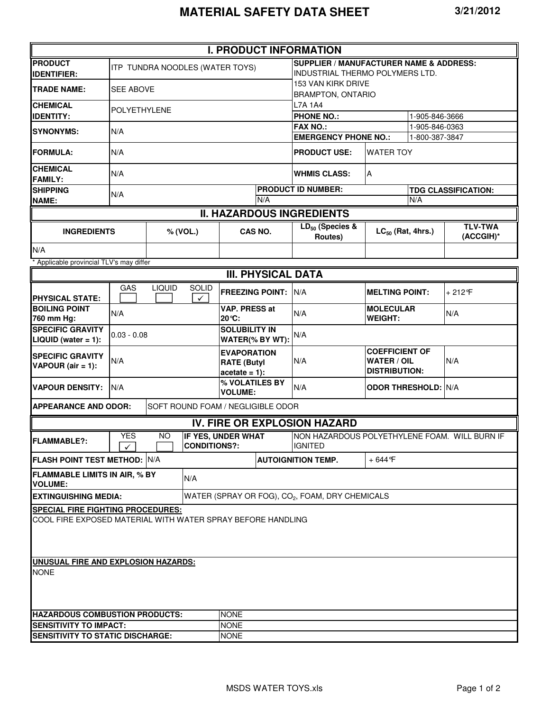|                                                               |                                                                                                                                                          |               |              | <b>I. PRODUCT INFORMATION</b>                               |                           |                                                                                       |                                                                     |                |                             |  |  |
|---------------------------------------------------------------|----------------------------------------------------------------------------------------------------------------------------------------------------------|---------------|--------------|-------------------------------------------------------------|---------------------------|---------------------------------------------------------------------------------------|---------------------------------------------------------------------|----------------|-----------------------------|--|--|
| <b>PRODUCT</b><br><b>IDENTIFIER:</b>                          |                                                                                                                                                          |               |              | ITP TUNDRA NOODLES (WATER TOYS)                             |                           | <b>SUPPLIER / MANUFACTURER NAME &amp; ADDRESS:</b><br>INDUSTRIAL THERMO POLYMERS LTD. |                                                                     |                |                             |  |  |
| TRADE NAME:                                                   | <b>SEE ABOVE</b>                                                                                                                                         |               |              |                                                             |                           | 153 VAN KIRK DRIVE<br><b>BRAMPTON, ONTARIO</b>                                        |                                                                     |                |                             |  |  |
| <b>CHEMICAL</b>                                               | <b>POLYETHYLENE</b>                                                                                                                                      |               |              |                                                             |                           | <b>L7A 1A4</b>                                                                        |                                                                     |                |                             |  |  |
| <b>IDENTITY:</b>                                              |                                                                                                                                                          |               |              |                                                             |                           | <b>PHONE NO.:</b><br>1-905-846-3666                                                   |                                                                     |                |                             |  |  |
| <b>SYNONYMS:</b>                                              | N/A                                                                                                                                                      |               |              |                                                             |                           | <b>FAX NO.:</b>                                                                       | 1-905-846-0363                                                      |                |                             |  |  |
|                                                               |                                                                                                                                                          |               |              |                                                             |                           | <b>EMERGENCY PHONE NO.:</b>                                                           |                                                                     | 1-800-387-3847 |                             |  |  |
| <b>FORMULA:</b>                                               | N/A                                                                                                                                                      |               |              |                                                             |                           | <b>PRODUCT USE:</b>                                                                   | <b>WATER TOY</b>                                                    |                |                             |  |  |
| <b>CHEMICAL</b><br><b>FAMILY:</b>                             | N/A                                                                                                                                                      |               |              |                                                             |                           | <b>WHMIS CLASS:</b>                                                                   | A                                                                   |                |                             |  |  |
| <b>SHIPPING</b>                                               | N/A                                                                                                                                                      |               |              |                                                             | <b>PRODUCT ID NUMBER:</b> |                                                                                       | <b>TDG CLASSIFICATION:</b>                                          |                |                             |  |  |
| <b>NAME:</b>                                                  |                                                                                                                                                          |               |              | N/A                                                         |                           |                                                                                       | N/A                                                                 |                |                             |  |  |
|                                                               |                                                                                                                                                          |               |              | <b>II. HAZARDOUS INGREDIENTS</b>                            |                           |                                                                                       |                                                                     |                |                             |  |  |
| <b>INGREDIENTS</b>                                            |                                                                                                                                                          |               | % (VOL.)     | CAS NO.                                                     |                           | $LD_{50}$ (Species &<br>Routes)                                                       | $LC_{50}$ (Rat, 4hrs.)                                              |                | <b>TLV-TWA</b><br>(ACCGIH)* |  |  |
| N/A                                                           |                                                                                                                                                          |               |              |                                                             |                           |                                                                                       |                                                                     |                |                             |  |  |
| * Applicable provincial TLV's may differ                      |                                                                                                                                                          |               |              |                                                             |                           |                                                                                       |                                                                     |                |                             |  |  |
|                                                               |                                                                                                                                                          |               |              | <b>III. PHYSICAL DATA</b>                                   |                           |                                                                                       |                                                                     |                |                             |  |  |
| <b>PHYSICAL STATE:</b>                                        | GAS                                                                                                                                                      | <b>LIQUID</b> | <b>SOLID</b> | <b>FREEZING POINT:</b>                                      |                           | N/A                                                                                   | <b>MELTING POINT:</b>                                               |                | $+212$ °F                   |  |  |
| <b>BOILING POINT</b><br>760 mm Hg:                            | N/A                                                                                                                                                      |               |              | <b>VAP. PRESS at</b><br>20 °C:                              |                           | N/A                                                                                   | <b>MOLECULAR</b><br><b>WEIGHT:</b>                                  |                | N/A                         |  |  |
| <b>SPECIFIC GRAVITY</b><br>$LIQUID$ (water = 1):              | $0.03 - 0.08$                                                                                                                                            |               |              | <b>SOLUBILITY IN</b><br>WATER(% BY WT):                     |                           | N/A                                                                                   |                                                                     |                |                             |  |  |
| <b>SPECIFIC GRAVITY</b><br>VAPOUR (air = 1):                  | N/A                                                                                                                                                      |               |              | <b>EVAPORATION</b><br><b>RATE (Butyl</b><br>$acetate = 1$ : |                           | N/A                                                                                   | <b>COEFFICIENT OF</b><br><b>WATER / OIL</b><br><b>DISTRIBUTION:</b> |                | N/A                         |  |  |
| <b>VAPOUR DENSITY:</b>                                        | N/A                                                                                                                                                      |               |              | % VOLATILES BY<br><b>VOLUME:</b>                            |                           | N/A                                                                                   | <b>ODOR THRESHOLD: N/A</b>                                          |                |                             |  |  |
| <b>APPEARANCE AND ODOR:</b>                                   |                                                                                                                                                          |               |              | SOFT ROUND FOAM / NEGLIGIBLE ODOR                           |                           |                                                                                       |                                                                     |                |                             |  |  |
|                                                               |                                                                                                                                                          |               |              |                                                             |                           | <b>IV. FIRE OR EXPLOSION HAZARD</b>                                                   |                                                                     |                |                             |  |  |
| <b>FLAMMABLE?:</b>                                            | NON HAZARDOUS POLYETHYLENE FOAM. WILL BURN IF<br><b>YES</b><br><b>IF YES, UNDER WHAT</b><br>NO.<br><b>CONDITIONS?:</b><br><b>IGNITED</b><br>$\checkmark$ |               |              |                                                             |                           |                                                                                       |                                                                     |                |                             |  |  |
| FLASH POINT TEST METHOD:<br>N/A                               |                                                                                                                                                          |               |              |                                                             |                           | <b>AUTOIGNITION TEMP.</b>                                                             | $+644$ °F                                                           |                |                             |  |  |
| <b>FLAMMABLE LIMITS IN AIR, % BY</b><br>N/A<br><b>VOLUME:</b> |                                                                                                                                                          |               |              |                                                             |                           |                                                                                       |                                                                     |                |                             |  |  |
| <b>EXTINGUISHING MEDIA:</b>                                   |                                                                                                                                                          |               |              |                                                             |                           | WATER (SPRAY OR FOG), CO <sub>2</sub> , FOAM, DRY CHEMICALS                           |                                                                     |                |                             |  |  |
| <b>SPECIAL FIRE FIGHTING PROCEDURES:</b>                      |                                                                                                                                                          |               |              |                                                             |                           |                                                                                       |                                                                     |                |                             |  |  |
| COOL FIRE EXPOSED MATERIAL WITH WATER SPRAY BEFORE HANDLING   |                                                                                                                                                          |               |              |                                                             |                           |                                                                                       |                                                                     |                |                             |  |  |
|                                                               |                                                                                                                                                          |               |              |                                                             |                           |                                                                                       |                                                                     |                |                             |  |  |
| UNUSUAL FIRE AND EXPLOSION HAZARDS:<br><b>NONE</b>            |                                                                                                                                                          |               |              |                                                             |                           |                                                                                       |                                                                     |                |                             |  |  |
| <b>HAZARDOUS COMBUSTION PRODUCTS:</b><br><b>NONE</b>          |                                                                                                                                                          |               |              |                                                             |                           |                                                                                       |                                                                     |                |                             |  |  |
| <b>SENSITIVITY TO IMPACT:</b><br><b>NONE</b>                  |                                                                                                                                                          |               |              |                                                             |                           |                                                                                       |                                                                     |                |                             |  |  |
| <b>SENSITIVITY TO STATIC DISCHARGE:</b><br><b>NONE</b>        |                                                                                                                                                          |               |              |                                                             |                           |                                                                                       |                                                                     |                |                             |  |  |
|                                                               |                                                                                                                                                          |               |              |                                                             |                           |                                                                                       |                                                                     |                |                             |  |  |